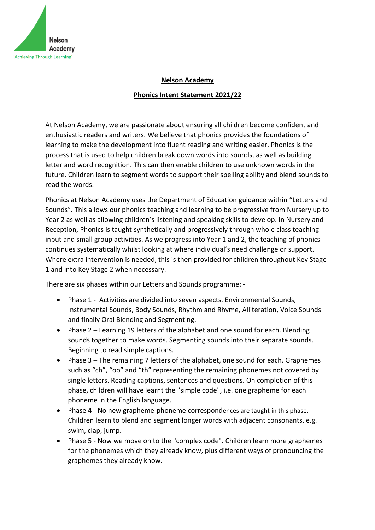

## **Nelson Academy**

## **Phonics Intent Statement 2021/22**

At Nelson Academy, we are passionate about ensuring all children become confident and enthusiastic readers and writers. We believe that phonics provides the foundations of learning to make the development into fluent reading and writing easier. Phonics is the process that is used to help children break down words into sounds, as well as building letter and word recognition. This can then enable children to use unknown words in the future. Children learn to segment words to support their spelling ability and blend sounds to read the words.

Phonics at Nelson Academy uses the Department of Education guidance within "Letters and Sounds". This allows our phonics teaching and learning to be progressive from Nursery up to Year 2 as well as allowing children's listening and speaking skills to develop. In Nursery and Reception, Phonics is taught synthetically and progressively through whole class teaching input and small group activities. As we progress into Year 1 and 2, the teaching of phonics continues systematically whilst looking at where individual's need challenge or support. Where extra intervention is needed, this is then provided for children throughout Key Stage 1 and into Key Stage 2 when necessary.

There are six phases within our Letters and Sounds programme: -

- Phase 1 Activities are divided into seven aspects. Environmental Sounds, Instrumental Sounds, Body Sounds, Rhythm and Rhyme, Alliteration, Voice Sounds and finally Oral Blending and Segmenting.
- Phase 2 Learning 19 letters of the alphabet and one sound for each. Blending sounds together to make words. Segmenting sounds into their separate sounds. Beginning to read simple captions.
- Phase 3 The remaining 7 letters of the alphabet, one sound for each. Graphemes such as "ch", "oo" and "th" representing the remaining phonemes not covered by single letters. Reading captions, sentences and questions. On completion of this phase, children will have learnt the "simple code", i.e. one grapheme for each phoneme in the English language.
- Phase 4 No new grapheme-phoneme correspondences are taught in this phase. Children learn to blend and segment longer words with adjacent consonants, e.g. swim, clap, jump.
- Phase 5 Now we move on to the "complex code". Children learn more graphemes for the phonemes which they already know, plus different ways of pronouncing the graphemes they already know.